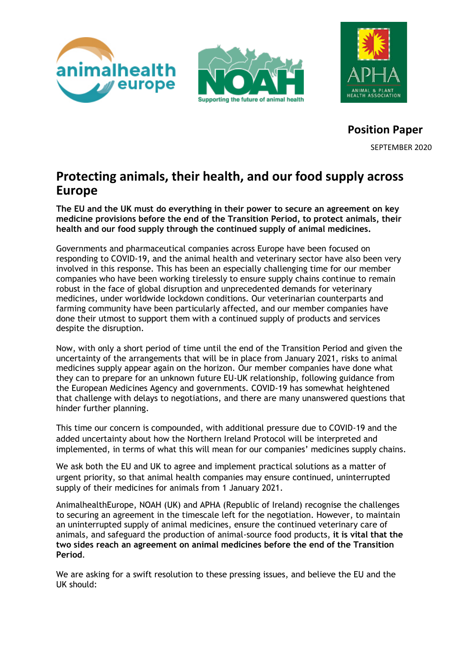





**Position Paper** SEPTEMBER 2020

# **Protecting animals, their health, and our food supply across Europe**

**The EU and the UK must do everything in their power to secure an agreement on key medicine provisions before the end of the Transition Period, to protect animals, their health and our food supply through the continued supply of animal medicines.** 

Governments and pharmaceutical companies across Europe have been focused on responding to COVID-19, and the animal health and veterinary sector have also been very involved in this response. This has been an especially challenging time for our member companies who have been working tirelessly to ensure supply chains continue to remain robust in the face of global disruption and unprecedented demands for veterinary medicines, under worldwide lockdown conditions. Our veterinarian counterparts and farming community have been particularly affected, and our member companies have done their utmost to support them with a continued supply of products and services despite the disruption.

Now, with only a short period of time until the end of the Transition Period and given the uncertainty of the arrangements that will be in place from January 2021, risks to animal medicines supply appear again on the horizon. Our member companies have done what they can to prepare for an unknown future EU-UK relationship, following guidance from the European Medicines Agency and governments. COVID-19 has somewhat heightened that challenge with delays to negotiations, and there are many unanswered questions that hinder further planning.

This time our concern is compounded, with additional pressure due to COVID-19 and the added uncertainty about how the Northern Ireland Protocol will be interpreted and implemented, in terms of what this will mean for our companies' medicines supply chains.

We ask both the EU and UK to agree and implement practical solutions as a matter of urgent priority, so that animal health companies may ensure continued, uninterrupted supply of their medicines for animals from 1 January 2021.

AnimalhealthEurope, NOAH (UK) and APHA (Republic of Ireland) recognise the challenges to securing an agreement in the timescale left for the negotiation. However, to maintain an uninterrupted supply of animal medicines, ensure the continued veterinary care of animals, and safeguard the production of animal-source food products, **it is vital that the two sides reach an agreement on animal medicines before the end of the Transition Period**.

We are asking for a swift resolution to these pressing issues, and believe the EU and the UK should: